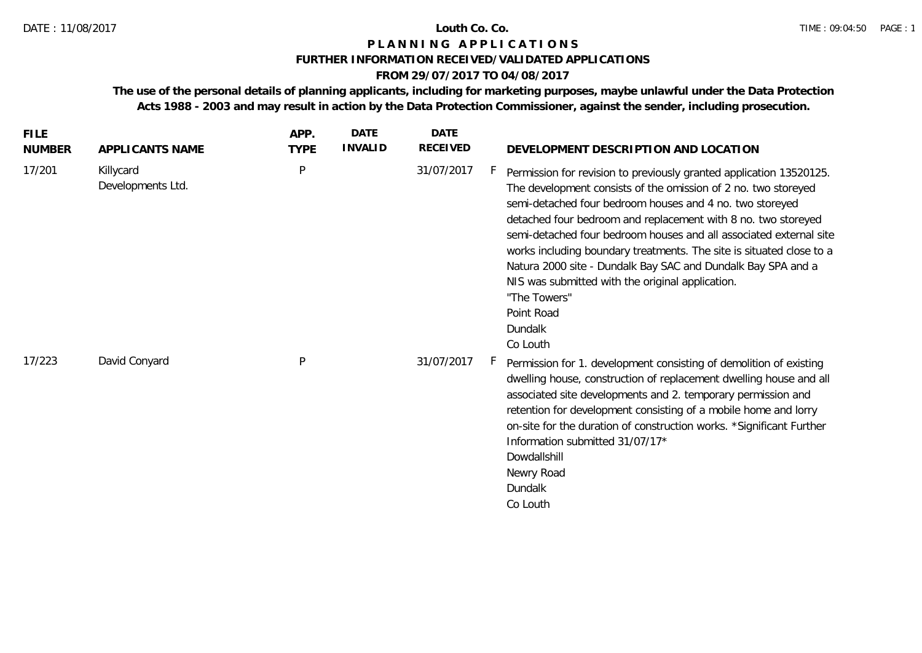# **P L A N N I N G A P P L I C A T I O N S**

### **FURTHER INFORMATION RECEIVED/VALIDATED APPLICATIONS**

### **FROM 29/07/2017 TO 04/08/2017**

**The use of the personal details of planning applicants, including for marketing purposes, maybe unlawful under the Data Protection Acts 1988 - 2003 and may result in action by the Data Protection Commissioner, against the sender, including prosecution.**

| <b>FILE</b><br><b>NUMBER</b> | APPLICANTS NAME                | APP.<br><b>TYPE</b> | <b>DATE</b><br><b>INVALID</b> | <b>DATE</b><br><b>RECEIVED</b> | DEVELOPMENT DESCRIPTION AND LOCATION                                                                                                                                                                                                                                                                                                                                                                                                                                                                                                                                                      |
|------------------------------|--------------------------------|---------------------|-------------------------------|--------------------------------|-------------------------------------------------------------------------------------------------------------------------------------------------------------------------------------------------------------------------------------------------------------------------------------------------------------------------------------------------------------------------------------------------------------------------------------------------------------------------------------------------------------------------------------------------------------------------------------------|
| 17/201                       | Killycard<br>Developments Ltd. | P                   |                               | 31/07/2017                     | Permission for revision to previously granted application 13520125.<br>The development consists of the omission of 2 no. two storeyed<br>semi-detached four bedroom houses and 4 no. two storeyed<br>detached four bedroom and replacement with 8 no. two storeyed<br>semi-detached four bedroom houses and all associated external site<br>works including boundary treatments. The site is situated close to a<br>Natura 2000 site - Dundalk Bay SAC and Dundalk Bay SPA and a<br>NIS was submitted with the original application.<br>"The Towers"<br>Point Road<br>Dundalk<br>Co Louth |
| 17/223                       | David Conyard                  | P                   |                               | 31/07/2017                     | Permission for 1. development consisting of demolition of existing<br>dwelling house, construction of replacement dwelling house and all<br>associated site developments and 2. temporary permission and<br>retention for development consisting of a mobile home and lorry<br>on-site for the duration of construction works. *Significant Further<br>Information submitted 31/07/17*<br>Dowdallshill<br>Newry Road<br>Dundalk<br>Co Louth                                                                                                                                               |